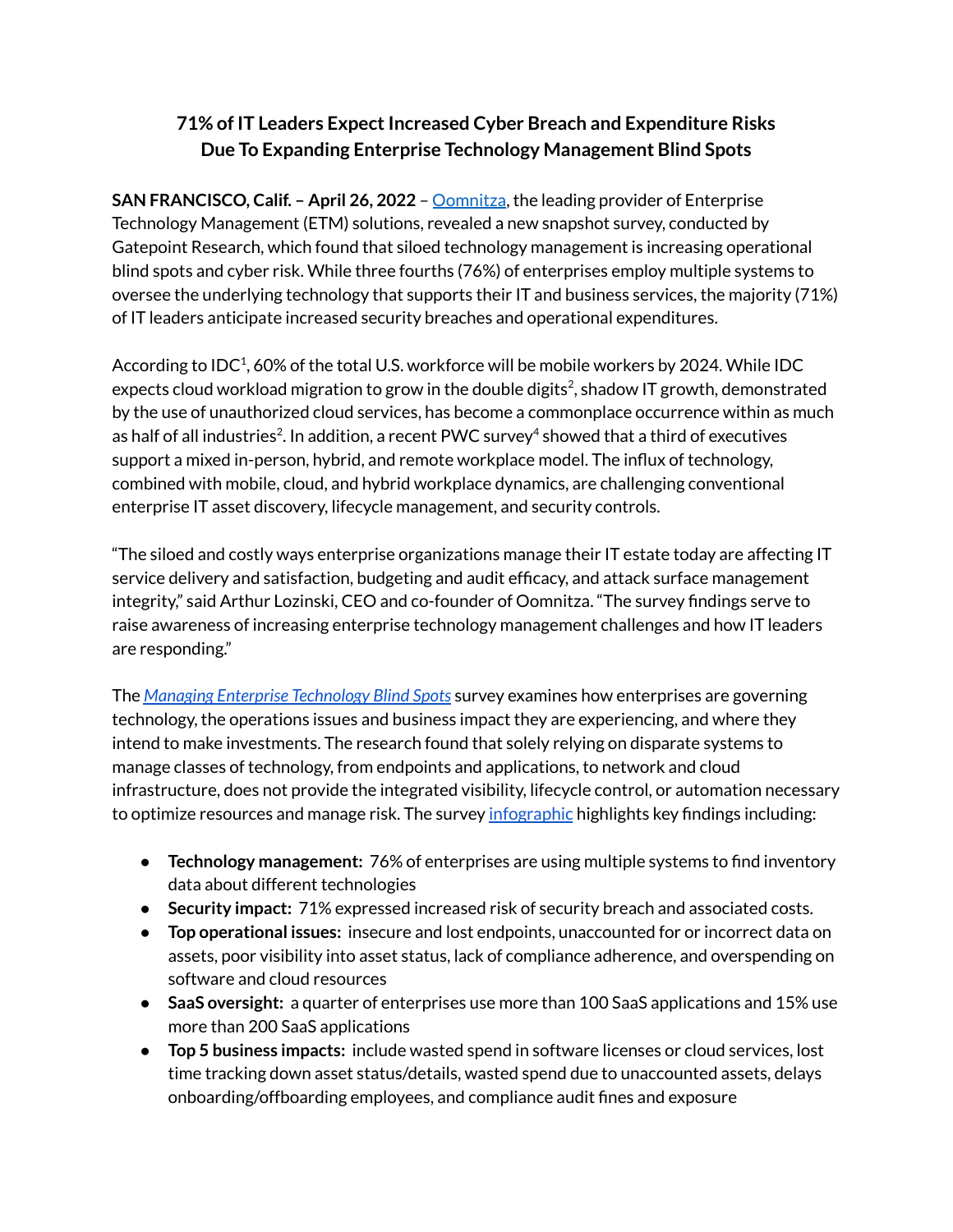## **71% of IT Leaders ExpectIncreased Cyber Breach and Expenditure Risks Due To Expanding Enterprise Technology Management Blind Spots**

**SAN FRANCISCO, Calif. – April 26, 2022** – [Oomnitza](https://www.oomnitza.com/?utm_source=pressrelease&utm_medium=pr), the leading provider of Enterprise Technology Management (ETM) solutions, revealed a new snapshot survey, conducted by Gatepoint Research, which found that siloed technology management is increasing operational blind spots and cyber risk. While three fourths (76%) of enterprises employ multiple systems to oversee the underlying technology that supports their IT and business services, the majority (71%) of IT leaders anticipate increased security breaches and operational expenditures.

According to IDC<sup>1</sup>, 60% of the total U.S. workforce will be mobile workers by 2024. While IDC expects cloud workload migration to grow in the double digits 2 , shadow IT growth, demonstrated by the use of unauthorized cloud services, has become a commonplace occurrence within as much as half of all industries $^2$ . In addition, a recent PWC survey $^4$  showed that a third of executives support a mixed in-person, hybrid, and remote workplace model. The influx of technology, combined with mobile, cloud, and hybrid workplace dynamics, are challenging conventional enterprise IT asset discovery, lifecycle management, and security controls.

"The siloed and costly ways enterprise organizations manage their IT estate today are affecting IT service delivery and satisfaction, budgeting and audit efficacy, and attack surface management integrity," said Arthur Lozinski, CEO and co-founder of Oomnitza. "The survey findings serve to raise awareness of increasing enterprise technology management challenges and how IT leaders are responding."

The *Managing Enterprise [Technology](https://www.oomnitza.com/resource/2022-Tech-Blind-Spots-Info) Blind Spots* survey examines how enterprises are governing technology, the operations issues and business impact they are experiencing, and where they intend to make investments. The research found that solely relying on disparate systems to manage classes of technology, from endpoints and applications, to network and cloud infrastructure, does not provide the integrated visibility, lifecycle control, or automation necessary to optimize resources and manage risk. The survey [infographic](https://www.oomnitza.com/resource/2022-Tech-Blind-Spot-Survey) highlights key findings including:

- **Technology management:** 76% of enterprises are using multiple systems to find inventory data about different technologies
- **Security impact:** 71% expressed increased risk of security breach and associated costs.
- **Top operational issues:** insecure and lost endpoints, unaccounted for or incorrect data on assets, poor visibility into asset status, lack of compliance adherence, and overspending on software and cloud resources
- **SaaS oversight:** a quarter of enterprises use more than 100 SaaS applications and 15% use more than 200 SaaS applications
- **Top 5 business impacts:** include wasted spend in software licenses or cloud services, lost time tracking down asset status/details, wasted spend due to unaccounted assets, delays onboarding/offboarding employees, and compliance audit fines and exposure